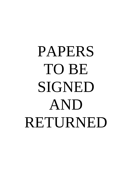# PAPERS TO BE SIGNED AND RETURNED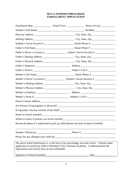## **MVCA NURSERY/PRESCHOOL ENROLLMENT APPLICATION**

| Name of church attended and the state of church attended and the state of church attended |                                                                                                                                                                                           |
|-------------------------------------------------------------------------------------------|-------------------------------------------------------------------------------------------------------------------------------------------------------------------------------------------|
| Whom to notify if parents can not be reached                                              |                                                                                                                                                                                           |
| Persons & phone #'s authorized to pick up child (please use back of sheet if needed)      |                                                                                                                                                                                           |
|                                                                                           |                                                                                                                                                                                           |
|                                                                                           |                                                                                                                                                                                           |
| registration and activity fees are non-refundable.                                        | The above listed information is, to the best of my knowledge, true and correct. I hereby make<br>application to enroll my child at Mountain View Christian Academy. I understand that the |
| Signature of Parent/Guardian                                                              |                                                                                                                                                                                           |
|                                                                                           |                                                                                                                                                                                           |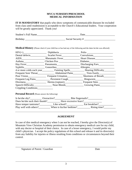#### **MVCA NURSERY/PRESCHOOL MEDICAL INFORMATION**

**IT IS MANDATORY** that pupils who show symptoms of communicable diseases be excluded from class until readmission is acceptable to the Church's Educational leaders. Your cooperation will be greatly appreciated. Thank you!

| Student's Full Name | Date              |
|---------------------|-------------------|
| <b>Birthday</b>     | Social Security # |

**Medical History** (Please check if your child has or has had any of the following and the dates he/she was affected)

|                      |                                                                                          | Polio                                                               |
|----------------------|------------------------------------------------------------------------------------------|---------------------------------------------------------------------|
|                      |                                                                                          |                                                                     |
| AIDS                 | Rheumatic Fever                                                                          | Heart Disease                                                       |
|                      | Asthma Chicken Pox Diabetes                                                              |                                                                     |
|                      | Hay Fever Pheumonia Discharging Ears                                                     |                                                                     |
|                      | Syphilis Gonorrhea Allergies                                                             |                                                                     |
|                      |                                                                                          | 4 or more colds each year<br>Fainting Spells<br>Thearing Difficulty |
|                      |                                                                                          |                                                                     |
|                      | Poor Vision<br>Frequent Urination                                                        | Shortness of Breath                                                 |
|                      |                                                                                          |                                                                     |
|                      |                                                                                          | Frequent Sties                                                      |
|                      | Speech Difficulty_________________ Nose Bleeds________________ Growing Pains____________ |                                                                     |
| Crippling Conditions |                                                                                          |                                                                     |

**Personal Record** (Please answer the following)

| Is he/she shy? $\angle$       | Overactive?  | Bite fingernails?                        |  |
|-------------------------------|--------------|------------------------------------------|--|
| Does he/she suck their thumb? |              | Have excessive fears?                    |  |
| Have temper tantrums?         | Like school? | Eat breakfast?                           |  |
| Play well with others?        |              | When is his/her bedtime?<br>Rising time? |  |

## **AGREEMENT**

In case of dire medical emergency when I can not be reached, I hereby give the Director(s) of Mountain View Christian Academy permission to obtain emergency medical care for my child, with any doctor or hospital of their choice. In case of a lesser emergency, I would prefer my child's physician. I accept the policy regulations of this school and release it and its director(s) from any liability for injuries or illness resulting from conditions or circumstances beyond their control.

Signature of Parent / Guardian Date

\_\_\_\_\_\_\_\_\_\_\_\_\_\_\_\_\_\_\_\_\_\_\_\_\_\_\_\_\_\_\_\_\_\_\_\_ \_\_\_\_\_\_\_\_\_\_\_\_\_\_\_\_\_\_\_\_\_\_\_\_\_\_\_\_\_\_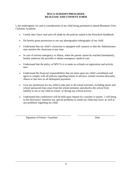#### **MVCA NURSERY/PRESCHOOL REALEASE AND CONSENT FORM**

I, the undersigned, for and in consideration of my child being permitted to attend Mountain View Christian Academy:

- Certify that I have read and will abide by the policies stated in the Preschool Handbook.
- Do hereby grant permission to use any photography/videography of my child.
- Understand that my child's classroom is equipped with cameras so that the Administrator may monitor the classroom at any time.
- In case of serious emergency or illness, when the parent cannot be reached immediately, hereby authorize the provider to obtain emergency medical care.
- Understand that the policy of MVCA is to make no refunds on registration and activity fees.
- Understand the financial responsibilities that are mine upon my child's enrollment and agree to comply with all policies regarding tuition in advance, earned vacation discounts, illness or late fees on all delinquent payments.
- Give my permission for my child to take part in all school activities, including sports and school sponsored trips away from the school premises and absolve the school from liability to me or my child at school or during any school activity.
- Understand that conferences will be held upon request by a teacher or parent. I will bring to the director(s)' attention any special problems or needs my child may have; as well as any problems regarding my child.

\_\_\_\_\_\_\_\_\_\_\_\_\_\_\_\_\_\_\_\_\_\_\_\_\_\_\_\_\_\_\_\_\_\_\_\_\_\_\_\_\_\_\_ \_\_\_\_\_\_\_\_\_\_\_\_\_\_\_\_\_\_\_\_\_\_\_\_\_\_\_\_\_

Signature of Parent / Guardian Date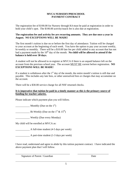#### **MVCA NURSERY/PRESCHOOL PAYMENT CONTRACT**

The registration fee of \$100.00 for Nursery through K4 must be paid at registration in order to hold your child's spot. The \$100.00 activity/snack fee is also due at registration.

#### **The registration fee and activity fee are recurring amounts. They are due once a year in August. NO EXCEPTIONS WILL BE MADE!**

The first month's tuition is due on or before the first day of attendance. Tuition will be charged to your account at the beginning of each week. You have the option to pay your account weekly, bi-weekly or monthly. There will be a \$10.00 late fee per child added to any account that has not had a payment made by the 10<sup>th</sup> day of the month. No child will be allowed to attend if the **balance is held over 30 days.** 

A student will not be allowed to re-register at MVCA if there is an unpaid balance left on the account from the previous school year. The account MUST BE current before registration. **NO EXCEPTIONS WILL BE MADE!** 

If a student is withdrawn after the  $1<sup>st</sup>$  day of the month, the entire month's tuition is still due and payable. This includes any late fees, or other unresolved fees or charges that may accumulate on the account.

There will be a \$30.00 service charge for all NSF returned checks.

## **It is imperative that tuition be paid in a timely manner as this is the primary source of funding for teacher salaries.**

Please indicate which payment plan you will follow.

Monthly (Due on the  $1<sup>st</sup>$ )

 $\frac{1}{\text{Bi-Weakly (Due on the 1st \& 15}^{\text{th}})}$ 

\_\_\_\_\_\_\_\_\_\_\_ Weekly (Due every Monday)

My child will be enrolled at MVCA as:

\_\_\_\_\_\_\_\_\_\_\_ A full-time student (4-5 days per week)

\_\_\_\_\_\_\_\_\_\_\_ A part-time student (1-3 days per week)

I have read, understand and agree to abide by this tuition payment contract. I have indicated the above payment plan that I will follow.

\_\_\_\_\_\_\_\_\_\_\_\_\_\_\_\_\_\_\_\_\_\_\_\_\_\_\_\_\_\_\_\_\_\_\_\_\_\_\_\_\_\_ \_\_\_\_\_\_\_\_\_\_\_\_\_\_\_\_\_\_\_\_\_\_\_\_

Signature of Parent / Guardian Date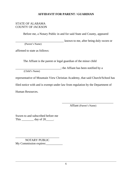# **AFFIDAVIT FOR PARENT / GUARDIAN**

## STATE OF ALABAMA COUNTY OF JACKSON

Before me, a Notary Public in and for said State and County, appeared

\_\_\_\_\_\_\_\_\_\_\_\_\_\_\_\_\_\_\_\_\_\_\_\_\_\_\_\_\_\_\_\_ known to me, after being duly sworn or (Parent's Name)

affirmed to state as follows:

The Affiant is the parent or legal guardian of the minor child

\_\_\_\_\_\_\_\_\_\_\_\_\_\_\_\_\_\_\_\_\_\_\_\_\_\_\_\_\_\_; the Affiant has been notified by a

(Child's Name)

representative of Mountain View Christian Academy, that said Church/School has

filed notice with and is exempt under law from regulation by the Department of

Human Resources.

Affiant (Parent's Name)

\_\_\_\_\_\_\_\_\_\_\_\_\_\_\_\_\_\_\_\_\_\_\_\_\_\_\_\_\_\_\_\_\_\_

Sworn to and subscribed before me This \_\_\_\_\_\_\_\_\_\_\_\_ day of 20\_\_\_\_\_\_.

\_\_\_\_\_\_\_\_\_\_\_\_\_\_\_\_\_\_\_\_\_\_\_\_\_\_\_\_\_ NOTARY PUBLIC My Commission expires: